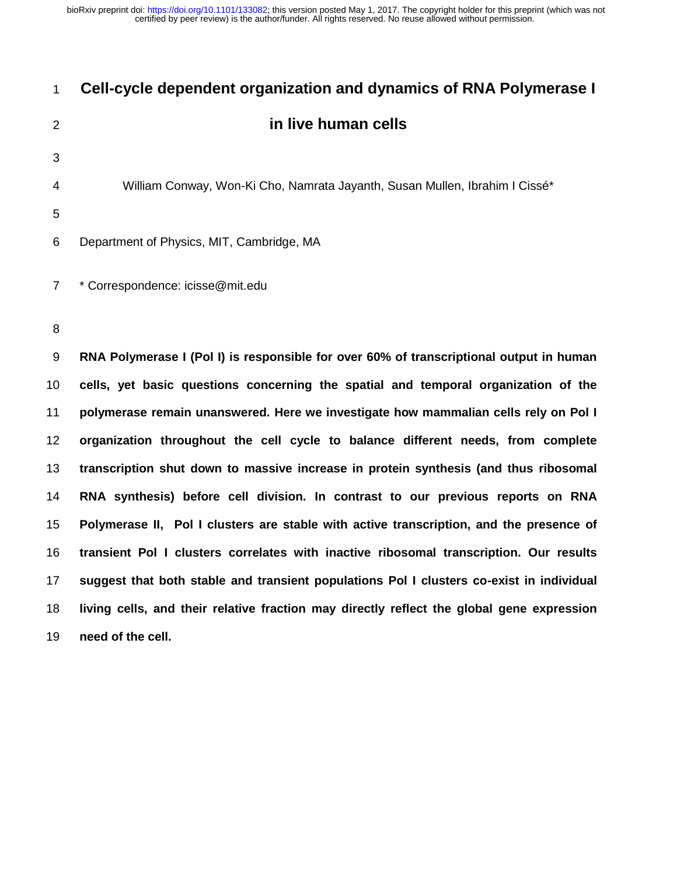| $\mathbf{1}$   | Cell-cycle dependent organization and dynamics of RNA Polymerase I                        |
|----------------|-------------------------------------------------------------------------------------------|
| $\overline{2}$ | in live human cells                                                                       |
| 3              |                                                                                           |
| 4              | William Conway, Won-Ki Cho, Namrata Jayanth, Susan Mullen, Ibrahim I Cissé*               |
| 5              |                                                                                           |
| 6              | Department of Physics, MIT, Cambridge, MA                                                 |
| $\overline{7}$ | * Correspondence: icisse@mit.edu                                                          |
| 8              |                                                                                           |
| 9              | RNA Polymerase I (Pol I) is responsible for over 60% of transcriptional output in human   |
| 10             | cells, yet basic questions concerning the spatial and temporal organization of the        |
| 11             | polymerase remain unanswered. Here we investigate how mammalian cells rely on Pol I       |
| 12             | organization throughout the cell cycle to balance different needs, from complete          |
| 13             | transcription shut down to massive increase in protein synthesis (and thus ribosomal      |
| 14             | RNA synthesis) before cell division. In contrast to our previous reports on RNA           |
| 15             | Polymerase II, Pol I clusters are stable with active transcription, and the presence of   |
| 16             | transient Pol I clusters correlates with inactive ribosomal transcription. Our results    |
| 17             | suggest that both stable and transient populations Pol I clusters co-exist in individual  |
| 18             | living cells, and their relative fraction may directly reflect the global gene expression |

**need of the cell.**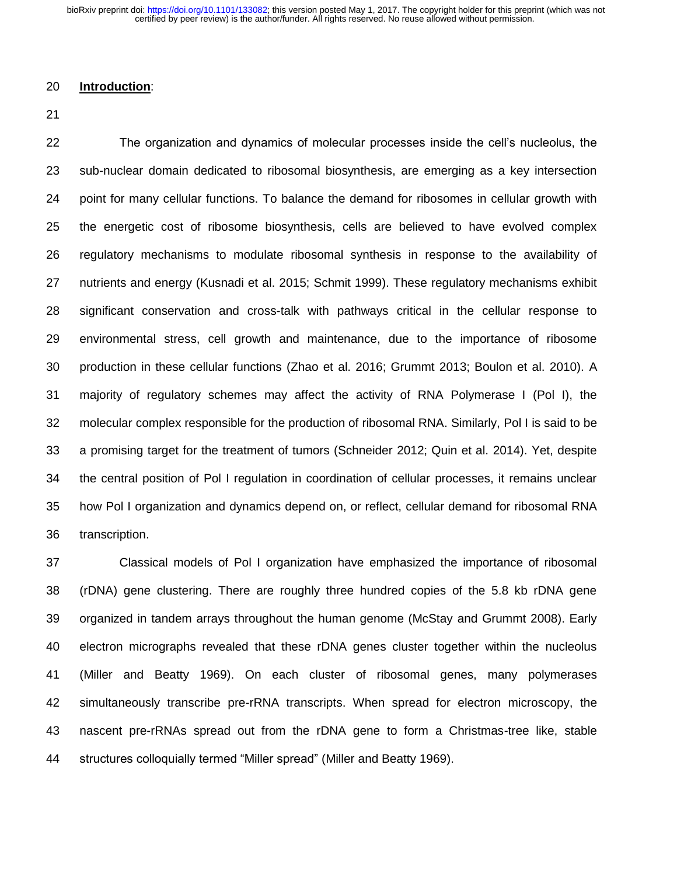### **Introduction**:

 The organization and dynamics of molecular processes inside the cell's nucleolus, the sub-nuclear domain dedicated to ribosomal biosynthesis, are emerging as a key intersection point for many cellular functions. To balance the demand for ribosomes in cellular growth with the energetic cost of ribosome biosynthesis, cells are believed to have evolved complex regulatory mechanisms to modulate ribosomal synthesis in response to the availability of nutrients and energy (Kusnadi et al. 2015; Schmit 1999). These regulatory mechanisms exhibit significant conservation and cross-talk with pathways critical in the cellular response to environmental stress, cell growth and maintenance, due to the importance of ribosome production in these cellular functions (Zhao et al. 2016; Grummt 2013; Boulon et al. 2010). A majority of regulatory schemes may affect the activity of RNA Polymerase I (Pol I), the molecular complex responsible for the production of ribosomal RNA. Similarly, Pol I is said to be a promising target for the treatment of tumors (Schneider 2012; Quin et al. 2014). Yet, despite the central position of Pol I regulation in coordination of cellular processes, it remains unclear how Pol I organization and dynamics depend on, or reflect, cellular demand for ribosomal RNA transcription.

 Classical models of Pol I organization have emphasized the importance of ribosomal (rDNA) gene clustering. There are roughly three hundred copies of the 5.8 kb rDNA gene organized in tandem arrays throughout the human genome (McStay and Grummt 2008). Early electron micrographs revealed that these rDNA genes cluster together within the nucleolus (Miller and Beatty 1969). On each cluster of ribosomal genes, many polymerases simultaneously transcribe pre-rRNA transcripts. When spread for electron microscopy, the nascent pre-rRNAs spread out from the rDNA gene to form a Christmas-tree like, stable structures colloquially termed "Miller spread" (Miller and Beatty 1969).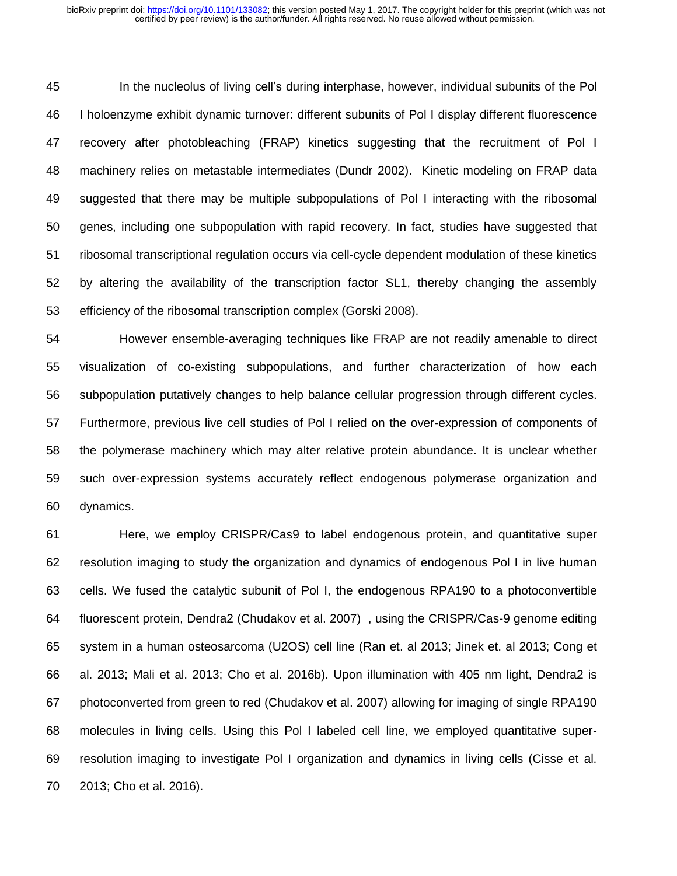In the nucleolus of living cell's during interphase, however, individual subunits of the Pol I holoenzyme exhibit dynamic turnover: different subunits of Pol I display different fluorescence recovery after photobleaching (FRAP) kinetics suggesting that the recruitment of Pol I machinery relies on metastable intermediates (Dundr 2002). Kinetic modeling on FRAP data suggested that there may be multiple subpopulations of Pol I interacting with the ribosomal genes, including one subpopulation with rapid recovery. In fact, studies have suggested that ribosomal transcriptional regulation occurs via cell-cycle dependent modulation of these kinetics by altering the availability of the transcription factor SL1, thereby changing the assembly efficiency of the ribosomal transcription complex (Gorski 2008).

 However ensemble-averaging techniques like FRAP are not readily amenable to direct visualization of co-existing subpopulations, and further characterization of how each subpopulation putatively changes to help balance cellular progression through different cycles. Furthermore, previous live cell studies of Pol I relied on the over-expression of components of the polymerase machinery which may alter relative protein abundance. It is unclear whether such over-expression systems accurately reflect endogenous polymerase organization and dynamics.

 Here, we employ CRISPR/Cas9 to label endogenous protein, and quantitative super resolution imaging to study the organization and dynamics of endogenous Pol I in live human cells. We fused the catalytic subunit of Pol I, the endogenous RPA190 to a photoconvertible fluorescent protein, Dendra2 (Chudakov et al. 2007) , using the CRISPR/Cas-9 genome editing system in a human osteosarcoma (U2OS) cell line (Ran et. al 2013; Jinek et. al 2013; Cong et al. 2013; Mali et al. 2013; Cho et al. 2016b). Upon illumination with 405 nm light, Dendra2 is photoconverted from green to red (Chudakov et al. 2007) allowing for imaging of single RPA190 molecules in living cells. Using this Pol I labeled cell line, we employed quantitative super- resolution imaging to investigate Pol I organization and dynamics in living cells (Cisse et al. 2013; Cho et al. 2016).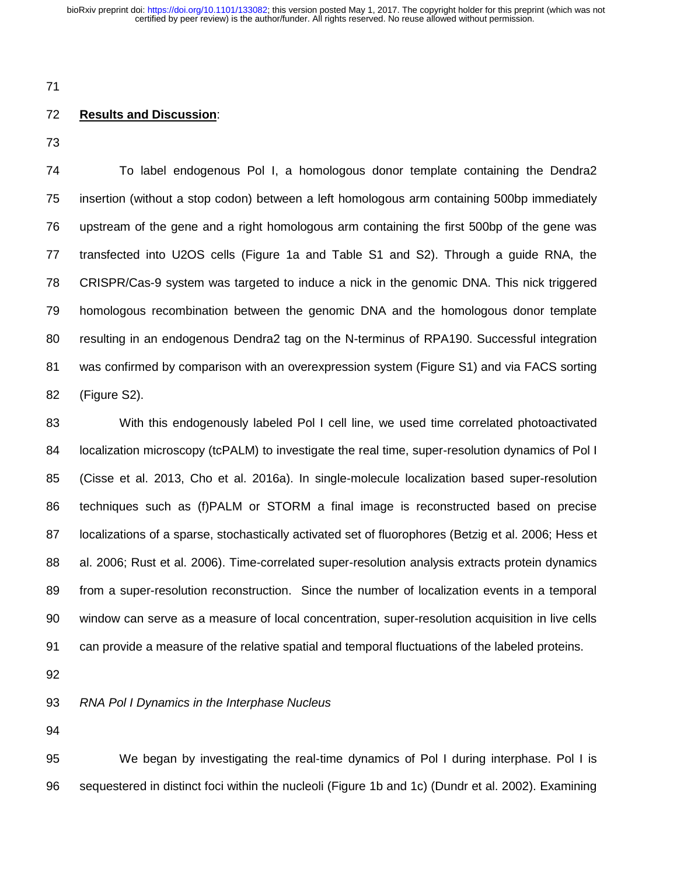# **Results and Discussion**:

 To label endogenous Pol I, a homologous donor template containing the Dendra2 insertion (without a stop codon) between a left homologous arm containing 500bp immediately upstream of the gene and a right homologous arm containing the first 500bp of the gene was transfected into U2OS cells (Figure 1a and Table S1 and S2). Through a guide RNA, the CRISPR/Cas-9 system was targeted to induce a nick in the genomic DNA. This nick triggered homologous recombination between the genomic DNA and the homologous donor template resulting in an endogenous Dendra2 tag on the N-terminus of RPA190. Successful integration was confirmed by comparison with an overexpression system (Figure S1) and via FACS sorting (Figure S2).

 With this endogenously labeled Pol I cell line, we used time correlated photoactivated 84 localization microscopy (tcPALM) to investigate the real time, super-resolution dynamics of Pol I (Cisse et al. 2013, Cho et al. 2016a). In single-molecule localization based super-resolution techniques such as (f)PALM or STORM a final image is reconstructed based on precise localizations of a sparse, stochastically activated set of fluorophores (Betzig et al. 2006; Hess et al. 2006; Rust et al. 2006). Time-correlated super-resolution analysis extracts protein dynamics from a super-resolution reconstruction. Since the number of localization events in a temporal window can serve as a measure of local concentration, super-resolution acquisition in live cells can provide a measure of the relative spatial and temporal fluctuations of the labeled proteins.

# *RNA Pol I Dynamics in the Interphase Nucleus*

 We began by investigating the real-time dynamics of Pol I during interphase. Pol I is sequestered in distinct foci within the nucleoli (Figure 1b and 1c) (Dundr et al. 2002). Examining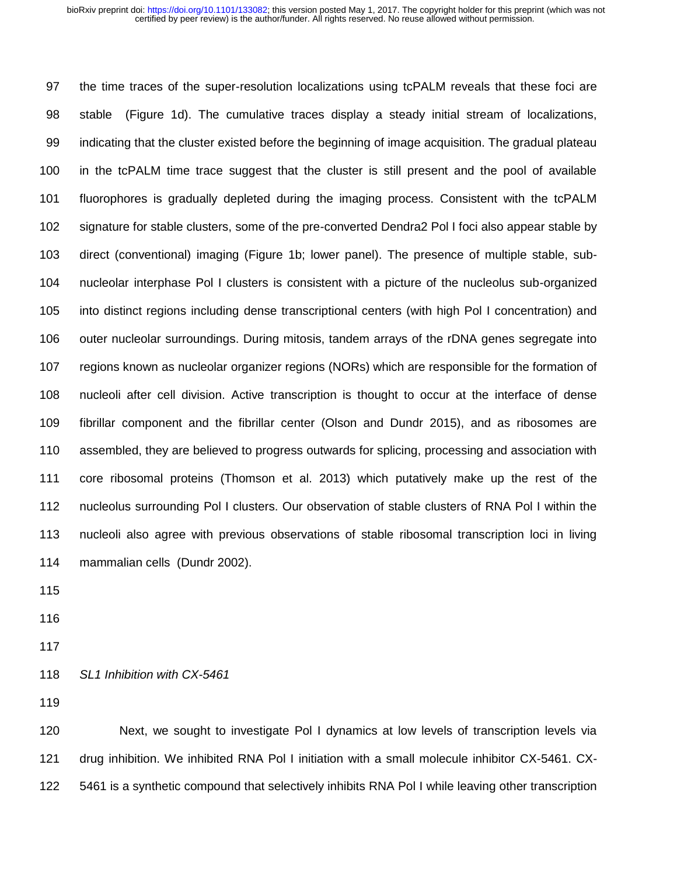the time traces of the super-resolution localizations using tcPALM reveals that these foci are stable (Figure 1d). The cumulative traces display a steady initial stream of localizations, indicating that the cluster existed before the beginning of image acquisition. The gradual plateau in the tcPALM time trace suggest that the cluster is still present and the pool of available fluorophores is gradually depleted during the imaging process. Consistent with the tcPALM signature for stable clusters, some of the pre-converted Dendra2 Pol I foci also appear stable by direct (conventional) imaging (Figure 1b; lower panel). The presence of multiple stable, sub- nucleolar interphase Pol I clusters is consistent with a picture of the nucleolus sub-organized into distinct regions including dense transcriptional centers (with high Pol I concentration) and outer nucleolar surroundings. During mitosis, tandem arrays of the rDNA genes segregate into regions known as nucleolar organizer regions (NORs) which are responsible for the formation of nucleoli after cell division. Active transcription is thought to occur at the interface of dense fibrillar component and the fibrillar center (Olson and Dundr 2015), and as ribosomes are assembled, they are believed to progress outwards for splicing, processing and association with core ribosomal proteins (Thomson et al. 2013) which putatively make up the rest of the nucleolus surrounding Pol I clusters. Our observation of stable clusters of RNA Pol I within the nucleoli also agree with previous observations of stable ribosomal transcription loci in living mammalian cells (Dundr 2002).

- 
- 
- 
- *SL1 Inhibition with CX-5461*

 Next, we sought to investigate Pol I dynamics at low levels of transcription levels via drug inhibition. We inhibited RNA Pol I initiation with a small molecule inhibitor CX-5461. CX-5461 is a synthetic compound that selectively inhibits RNA Pol I while leaving other transcription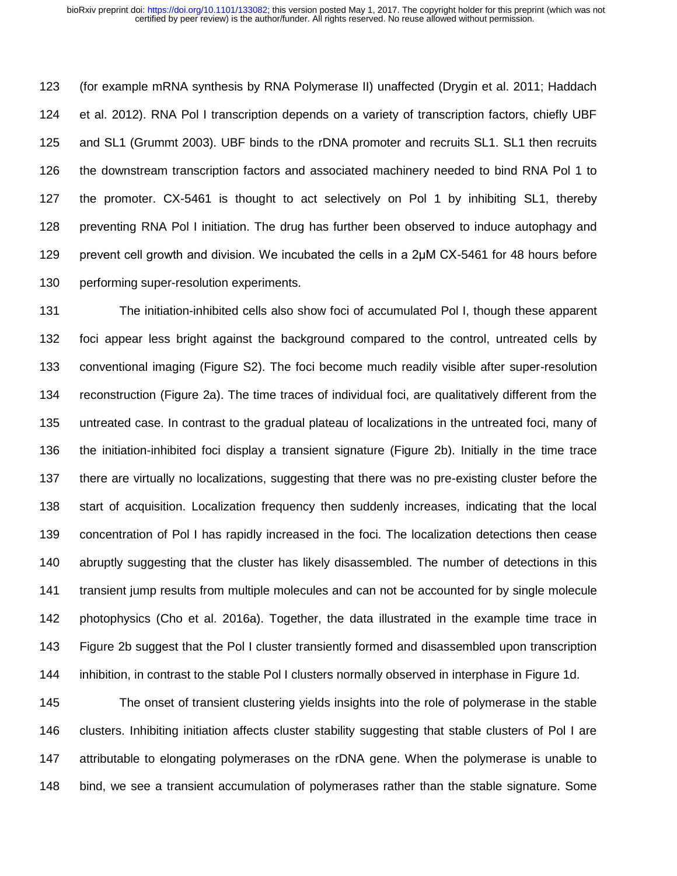(for example mRNA synthesis by RNA Polymerase II) unaffected (Drygin et al. 2011; Haddach et al. 2012). RNA Pol I transcription depends on a variety of transcription factors, chiefly UBF and SL1 (Grummt 2003). UBF binds to the rDNA promoter and recruits SL1. SL1 then recruits the downstream transcription factors and associated machinery needed to bind RNA Pol 1 to the promoter. CX-5461 is thought to act selectively on Pol 1 by inhibiting SL1, thereby preventing RNA Pol I initiation. The drug has further been observed to induce autophagy and prevent cell growth and division. We incubated the cells in a 2μM CX-5461 for 48 hours before performing super-resolution experiments.

 The initiation-inhibited cells also show foci of accumulated Pol I, though these apparent foci appear less bright against the background compared to the control, untreated cells by conventional imaging (Figure S2). The foci become much readily visible after super-resolution reconstruction (Figure 2a). The time traces of individual foci, are qualitatively different from the untreated case. In contrast to the gradual plateau of localizations in the untreated foci, many of the initiation-inhibited foci display a transient signature (Figure 2b). Initially in the time trace there are virtually no localizations, suggesting that there was no pre-existing cluster before the start of acquisition. Localization frequency then suddenly increases, indicating that the local concentration of Pol I has rapidly increased in the foci. The localization detections then cease abruptly suggesting that the cluster has likely disassembled. The number of detections in this transient jump results from multiple molecules and can not be accounted for by single molecule photophysics (Cho et al. 2016a). Together, the data illustrated in the example time trace in Figure 2b suggest that the Pol I cluster transiently formed and disassembled upon transcription inhibition, in contrast to the stable Pol I clusters normally observed in interphase in Figure 1d.

 The onset of transient clustering yields insights into the role of polymerase in the stable clusters. Inhibiting initiation affects cluster stability suggesting that stable clusters of Pol I are attributable to elongating polymerases on the rDNA gene. When the polymerase is unable to bind, we see a transient accumulation of polymerases rather than the stable signature. Some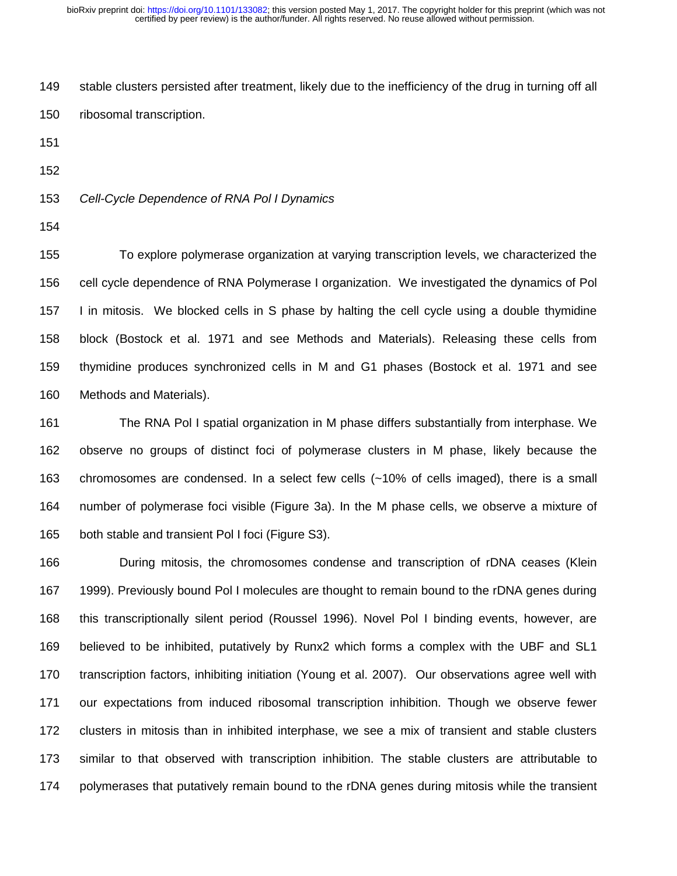stable clusters persisted after treatment, likely due to the inefficiency of the drug in turning off all ribosomal transcription.

- 
- 

*Cell-Cycle Dependence of RNA Pol I Dynamics*

 To explore polymerase organization at varying transcription levels, we characterized the cell cycle dependence of RNA Polymerase I organization. We investigated the dynamics of Pol I in mitosis. We blocked cells in S phase by halting the cell cycle using a double thymidine block (Bostock et al. 1971 and see Methods and Materials). Releasing these cells from thymidine produces synchronized cells in M and G1 phases (Bostock et al. 1971 and see Methods and Materials).

 The RNA Pol I spatial organization in M phase differs substantially from interphase. We observe no groups of distinct foci of polymerase clusters in M phase, likely because the chromosomes are condensed. In a select few cells (~10% of cells imaged), there is a small number of polymerase foci visible (Figure 3a). In the M phase cells, we observe a mixture of both stable and transient Pol I foci (Figure S3).

 During mitosis, the chromosomes condense and transcription of rDNA ceases (Klein 1999). Previously bound Pol I molecules are thought to remain bound to the rDNA genes during this transcriptionally silent period (Roussel 1996). Novel Pol I binding events, however, are believed to be inhibited, putatively by Runx2 which forms a complex with the UBF and SL1 transcription factors, inhibiting initiation (Young et al. 2007). Our observations agree well with our expectations from induced ribosomal transcription inhibition. Though we observe fewer clusters in mitosis than in inhibited interphase, we see a mix of transient and stable clusters similar to that observed with transcription inhibition. The stable clusters are attributable to polymerases that putatively remain bound to the rDNA genes during mitosis while the transient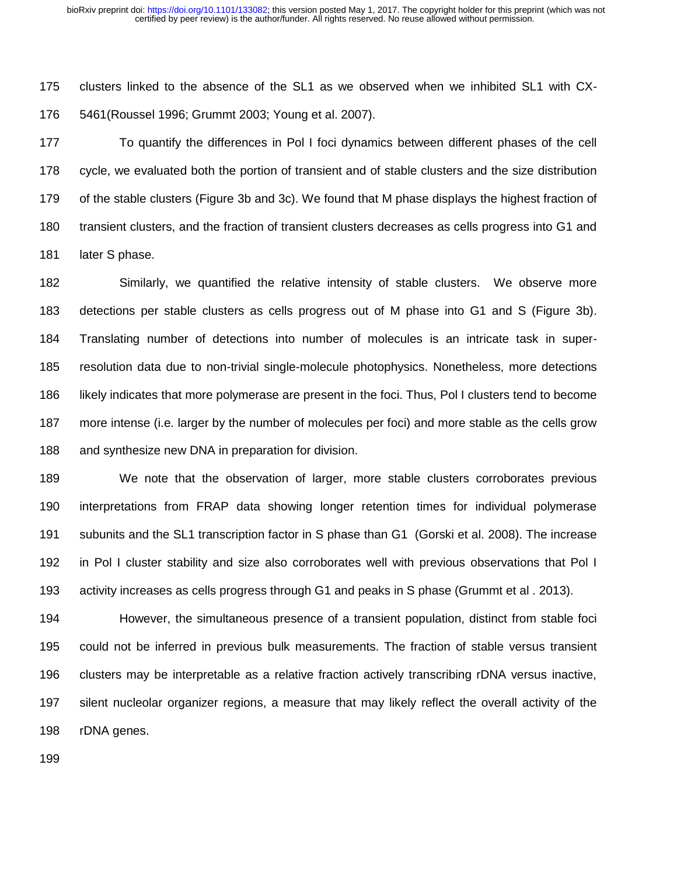clusters linked to the absence of the SL1 as we observed when we inhibited SL1 with CX-5461(Roussel 1996; Grummt 2003; Young et al. 2007).

 To quantify the differences in Pol I foci dynamics between different phases of the cell cycle, we evaluated both the portion of transient and of stable clusters and the size distribution of the stable clusters (Figure 3b and 3c). We found that M phase displays the highest fraction of transient clusters, and the fraction of transient clusters decreases as cells progress into G1 and 181 later S phase.

 Similarly, we quantified the relative intensity of stable clusters. We observe more detections per stable clusters as cells progress out of M phase into G1 and S (Figure 3b). Translating number of detections into number of molecules is an intricate task in super- resolution data due to non-trivial single-molecule photophysics. Nonetheless, more detections likely indicates that more polymerase are present in the foci. Thus, Pol I clusters tend to become more intense (i.e. larger by the number of molecules per foci) and more stable as the cells grow and synthesize new DNA in preparation for division.

 We note that the observation of larger, more stable clusters corroborates previous interpretations from FRAP data showing longer retention times for individual polymerase subunits and the SL1 transcription factor in S phase than G1 (Gorski et al. 2008). The increase in Pol I cluster stability and size also corroborates well with previous observations that Pol I activity increases as cells progress through G1 and peaks in S phase (Grummt et al . 2013).

 However, the simultaneous presence of a transient population, distinct from stable foci could not be inferred in previous bulk measurements. The fraction of stable versus transient clusters may be interpretable as a relative fraction actively transcribing rDNA versus inactive, silent nucleolar organizer regions, a measure that may likely reflect the overall activity of the rDNA genes.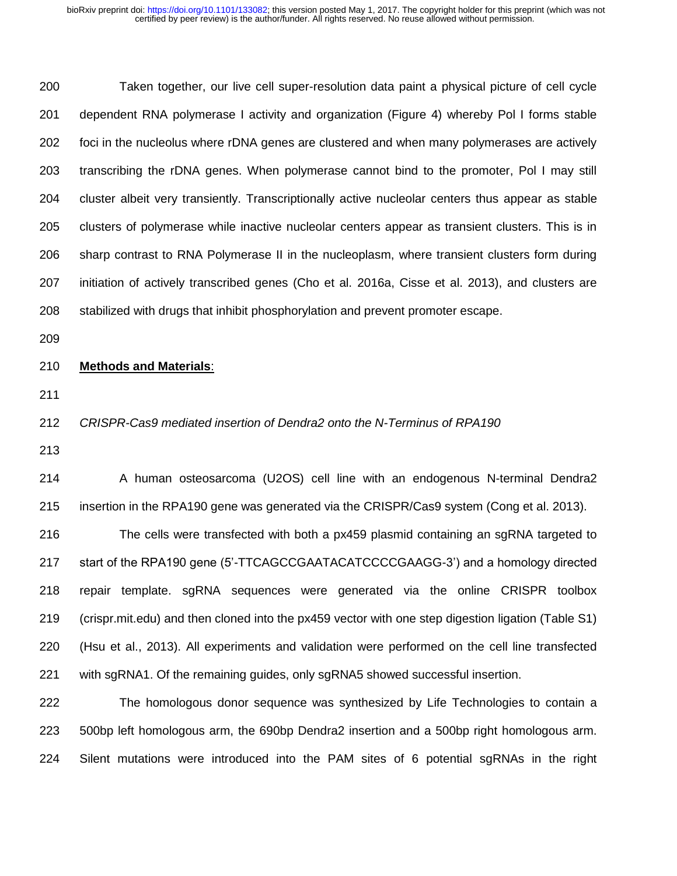Taken together, our live cell super-resolution data paint a physical picture of cell cycle dependent RNA polymerase I activity and organization (Figure 4) whereby Pol I forms stable foci in the nucleolus where rDNA genes are clustered and when many polymerases are actively transcribing the rDNA genes. When polymerase cannot bind to the promoter, Pol I may still cluster albeit very transiently. Transcriptionally active nucleolar centers thus appear as stable clusters of polymerase while inactive nucleolar centers appear as transient clusters. This is in sharp contrast to RNA Polymerase II in the nucleoplasm, where transient clusters form during initiation of actively transcribed genes (Cho et al. 2016a, Cisse et al. 2013), and clusters are stabilized with drugs that inhibit phosphorylation and prevent promoter escape.

## **Methods and Materials**:

## *CRISPR-Cas9 mediated insertion of Dendra2 onto the N-Terminus of RPA190*

 A human osteosarcoma (U2OS) cell line with an endogenous N-terminal Dendra2 insertion in the RPA190 gene was generated via the CRISPR/Cas9 system (Cong et al. 2013).

 The cells were transfected with both a px459 plasmid containing an sgRNA targeted to start of the RPA190 gene (5'-TTCAGCCGAATACATCCCCGAAGG-3') and a homology directed repair template. sgRNA sequences were generated via the online CRISPR toolbox (crispr.mit.edu) and then cloned into the px459 vector with one step digestion ligation (Table S1) (Hsu et al., 2013). All experiments and validation were performed on the cell line transfected with sgRNA1. Of the remaining guides, only sgRNA5 showed successful insertion.

 The homologous donor sequence was synthesized by Life Technologies to contain a 500bp left homologous arm, the 690bp Dendra2 insertion and a 500bp right homologous arm. Silent mutations were introduced into the PAM sites of 6 potential sgRNAs in the right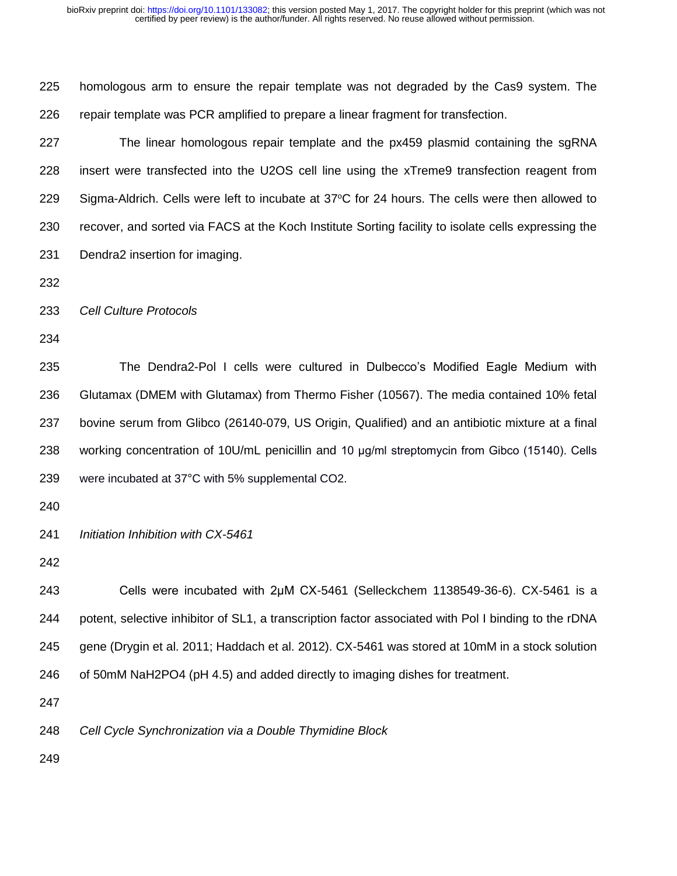homologous arm to ensure the repair template was not degraded by the Cas9 system. The repair template was PCR amplified to prepare a linear fragment for transfection. The linear homologous repair template and the px459 plasmid containing the sgRNA insert were transfected into the U2OS cell line using the xTreme9 transfection reagent from 229 Sigma-Aldrich. Cells were left to incubate at  $37^{\circ}$ C for 24 hours. The cells were then allowed to recover, and sorted via FACS at the Koch Institute Sorting facility to isolate cells expressing the Dendra2 insertion for imaging. *Cell Culture Protocols* The Dendra2-Pol I cells were cultured in Dulbecco's Modified Eagle Medium with Glutamax (DMEM with Glutamax) from Thermo Fisher (10567). The media contained 10% fetal bovine serum from Glibco (26140-079, US Origin, Qualified) and an antibiotic mixture at a final working concentration of 10U/mL penicillin and 10 μg/ml streptomycin from Gibco (15140). Cells were incubated at 37°C with 5% supplemental CO2. *Initiation Inhibition with CX-5461* Cells were incubated with 2μM CX-5461 (Selleckchem 1138549-36-6). CX-5461 is a potent, selective inhibitor of SL1, a transcription factor associated with Pol I binding to the rDNA gene (Drygin et al. 2011; Haddach et al. 2012). CX-5461 was stored at 10mM in a stock solution of 50mM NaH2PO4 (pH 4.5) and added directly to imaging dishes for treatment. *Cell Cycle Synchronization via a Double Thymidine Block*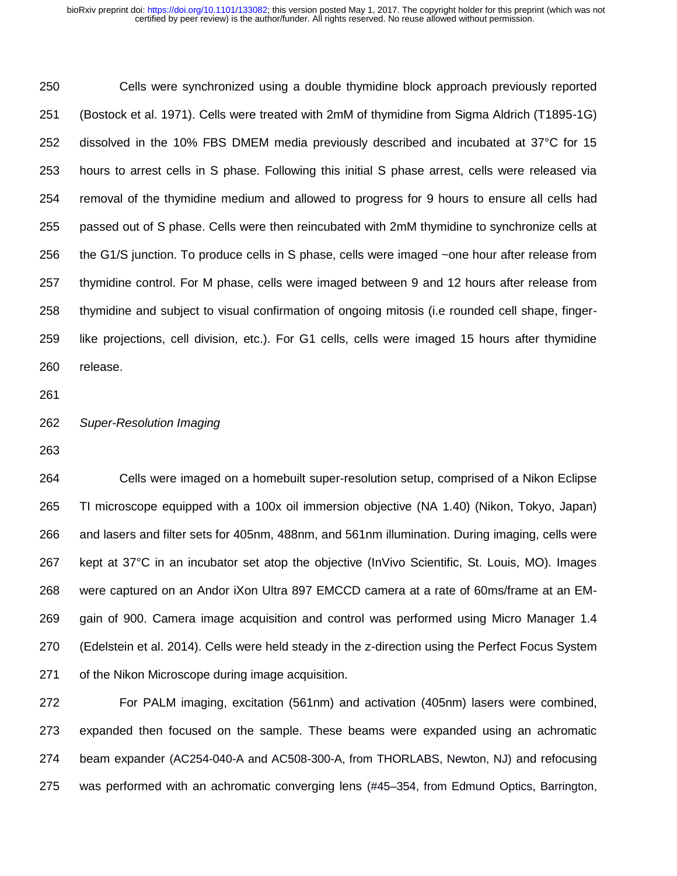Cells were synchronized using a double thymidine block approach previously reported (Bostock et al. 1971). Cells were treated with 2mM of thymidine from Sigma Aldrich (T1895-1G) dissolved in the 10% FBS DMEM media previously described and incubated at 37°C for 15 hours to arrest cells in S phase. Following this initial S phase arrest, cells were released via removal of the thymidine medium and allowed to progress for 9 hours to ensure all cells had passed out of S phase. Cells were then reincubated with 2mM thymidine to synchronize cells at the G1/S junction. To produce cells in S phase, cells were imaged ~one hour after release from thymidine control. For M phase, cells were imaged between 9 and 12 hours after release from thymidine and subject to visual confirmation of ongoing mitosis (i.e rounded cell shape, finger- like projections, cell division, etc.). For G1 cells, cells were imaged 15 hours after thymidine release.

#### *Super-Resolution Imaging*

 Cells were imaged on a homebuilt super-resolution setup, comprised of a Nikon Eclipse TI microscope equipped with a 100x oil immersion objective (NA 1.40) (Nikon, Tokyo, Japan) and lasers and filter sets for 405nm, 488nm, and 561nm illumination. During imaging, cells were kept at 37°C in an incubator set atop the objective (InVivo Scientific, St. Louis, MO). Images were captured on an Andor iXon Ultra 897 EMCCD camera at a rate of 60ms/frame at an EM- gain of 900. Camera image acquisition and control was performed using Micro Manager 1.4 (Edelstein et al. 2014). Cells were held steady in the z-direction using the Perfect Focus System of the Nikon Microscope during image acquisition.

 For PALM imaging, excitation (561nm) and activation (405nm) lasers were combined, expanded then focused on the sample. These beams were expanded using an achromatic beam expander (AC254-040-A and AC508-300-A, from THORLABS, Newton, NJ) and refocusing was performed with an achromatic converging lens (#45–354, from Edmund Optics, Barrington,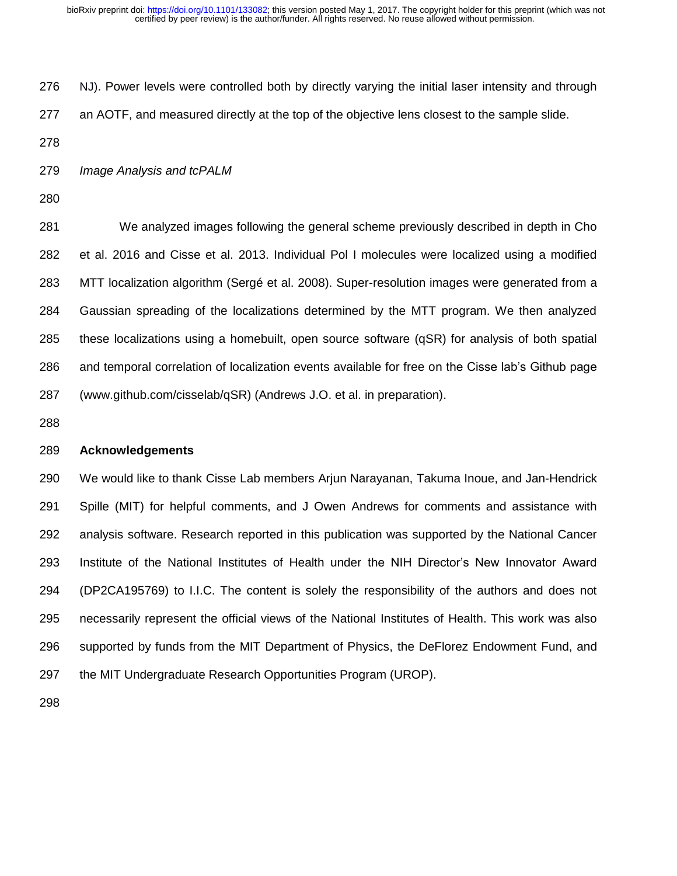NJ). Power levels were controlled both by directly varying the initial laser intensity and through

- an AOTF, and measured directly at the top of the objective lens closest to the sample slide.
- 

*Image Analysis and tcPALM*

 We analyzed images following the general scheme previously described in depth in Cho et al. 2016 and Cisse et al. 2013. Individual Pol I molecules were localized using a modified MTT localization algorithm (Sergé et al. 2008). Super-resolution images were generated from a Gaussian spreading of the localizations determined by the MTT program. We then analyzed these localizations using a homebuilt, open source software (qSR) for analysis of both spatial and temporal correlation of localization events available for free on the Cisse lab's Github page (www.github.com/cisselab/qSR) (Andrews J.O. et al. in preparation).

# **Acknowledgements**

 We would like to thank Cisse Lab members Arjun Narayanan, Takuma Inoue, and Jan-Hendrick Spille (MIT) for helpful comments, and J Owen Andrews for comments and assistance with analysis software. Research reported in this publication was supported by the National Cancer Institute of the National Institutes of Health under the NIH Director's New Innovator Award (DP2CA195769) to I.I.C. The content is solely the responsibility of the authors and does not necessarily represent the official views of the National Institutes of Health. This work was also supported by funds from the MIT Department of Physics, the DeFlorez Endowment Fund, and the MIT Undergraduate Research Opportunities Program (UROP).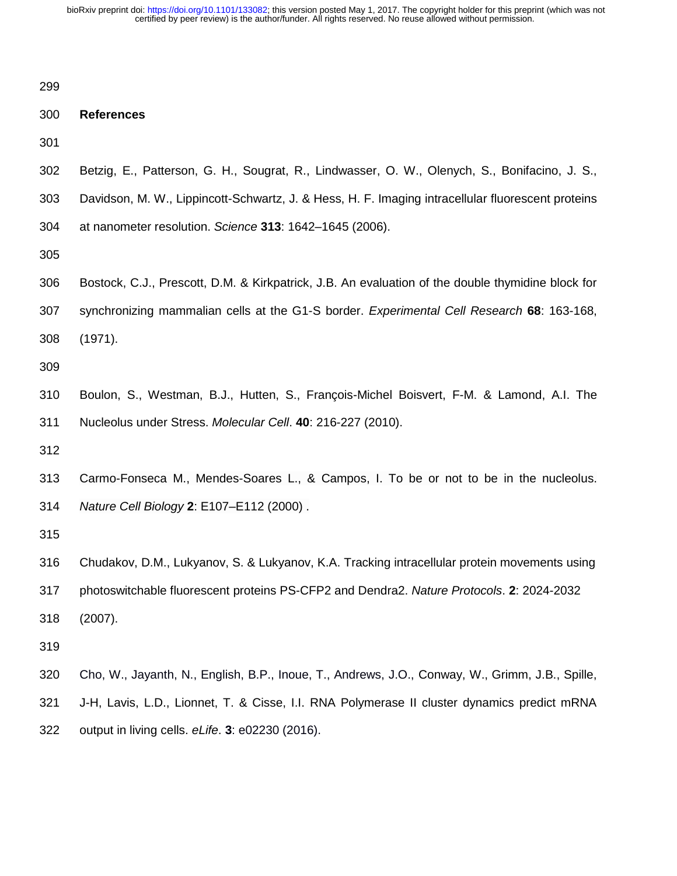| 299 |                                                                                                   |
|-----|---------------------------------------------------------------------------------------------------|
| 300 | <b>References</b>                                                                                 |
| 301 |                                                                                                   |
| 302 | Betzig, E., Patterson, G. H., Sougrat, R., Lindwasser, O. W., Olenych, S., Bonifacino, J. S.,     |
| 303 | Davidson, M. W., Lippincott-Schwartz, J. & Hess, H. F. Imaging intracellular fluorescent proteins |
| 304 | at nanometer resolution. Science 313: 1642-1645 (2006).                                           |
| 305 |                                                                                                   |
| 306 | Bostock, C.J., Prescott, D.M. & Kirkpatrick, J.B. An evaluation of the double thymidine block for |
| 307 | synchronizing mammalian cells at the G1-S border. Experimental Cell Research 68: 163-168,         |
| 308 | (1971).                                                                                           |
| 309 |                                                                                                   |
| 310 | Boulon, S., Westman, B.J., Hutten, S., François-Michel Boisvert, F-M. & Lamond, A.I. The          |
| 311 | Nucleolus under Stress. Molecular Cell. 40: 216-227 (2010).                                       |
| 312 |                                                                                                   |
| 313 | Carmo-Fonseca M., Mendes-Soares L., & Campos, I. To be or not to be in the nucleolus.             |
| 314 | Nature Cell Biology 2: E107-E112 (2000).                                                          |
| 315 |                                                                                                   |
| 316 | Chudakov, D.M., Lukyanov, S. & Lukyanov, K.A. Tracking intracellular protein movements using      |
| 317 | photoswitchable fluorescent proteins PS-CFP2 and Dendra2. Nature Protocols. 2: 2024-2032          |
| 318 | (2007).                                                                                           |
| 319 |                                                                                                   |
| 320 | Cho, W., Jayanth, N., English, B.P., Inoue, T., Andrews, J.O., Conway, W., Grimm, J.B., Spille,   |
| 321 | J-H, Lavis, L.D., Lionnet, T. & Cisse, I.I. RNA Polymerase II cluster dynamics predict mRNA       |
| 322 | output in living cells. eLife. 3: e02230 (2016).                                                  |
|     |                                                                                                   |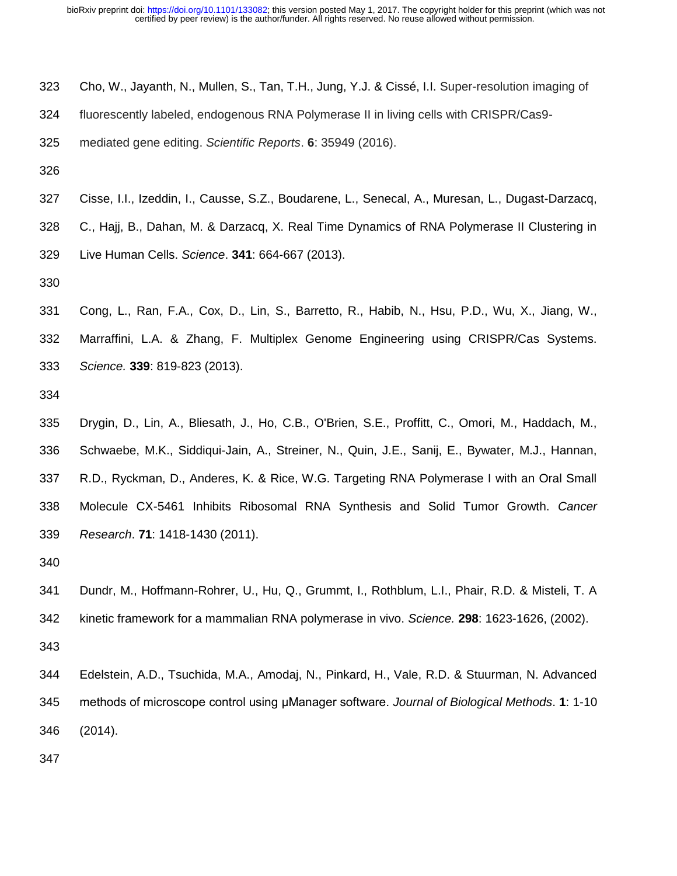- Cho, W., Jayanth, N., Mullen, S., Tan, T.H., Jung, Y.J. & Cissé, I.I. Super-resolution imaging of
- fluorescently labeled, endogenous RNA Polymerase II in living cells with CRISPR/Cas9-

mediated gene editing. *Scientific Reports*. **6**: 35949 (2016).

- 
- Cisse, I.I., Izeddin, I., Causse, S.Z., Boudarene, L., Senecal, A., Muresan, L., Dugast-Darzacq, C., Hajj, B., Dahan, M. & Darzacq, X. Real Time Dynamics of RNA Polymerase II Clustering in Live Human Cells. *Science*. **341**: 664-667 (2013).
- 
- Cong, L., Ran, F.A., Cox, D., Lin, S., Barretto, R., Habib, N., Hsu, P.D., Wu, X., Jiang, W., Marraffini, L.A. & Zhang, F. Multiplex Genome Engineering using CRISPR/Cas Systems. *Science.* **339**: 819-823 (2013).
- 
- Drygin, D., Lin, A., Bliesath, J., Ho, C.B., O'Brien, S.E., Proffitt, C., Omori, M., Haddach, M., Schwaebe, M.K., Siddiqui-Jain, A., Streiner, N., Quin, J.E., Sanij, E., Bywater, M.J., Hannan, R.D., Ryckman, D., Anderes, K. & Rice, W.G. Targeting RNA Polymerase I with an Oral Small Molecule CX-5461 Inhibits Ribosomal RNA Synthesis and Solid Tumor Growth. *Cancer Research*. **71**: 1418-1430 (2011).
- 
- Dundr, M., Hoffmann-Rohrer, U., Hu, Q., Grummt, I., Rothblum, L.I., Phair, R.D. & Misteli, T. A kinetic framework for a mammalian RNA polymerase in vivo. *Science.* **298**: 1623-1626, (2002).
- Edelstein, A.D., Tsuchida, M.A., Amodaj, N., Pinkard, H., Vale, R.D. & Stuurman, N. Advanced methods of microscope control using μManager software. *Journal of Biological Methods*. **1**: 1-10 (2014).
-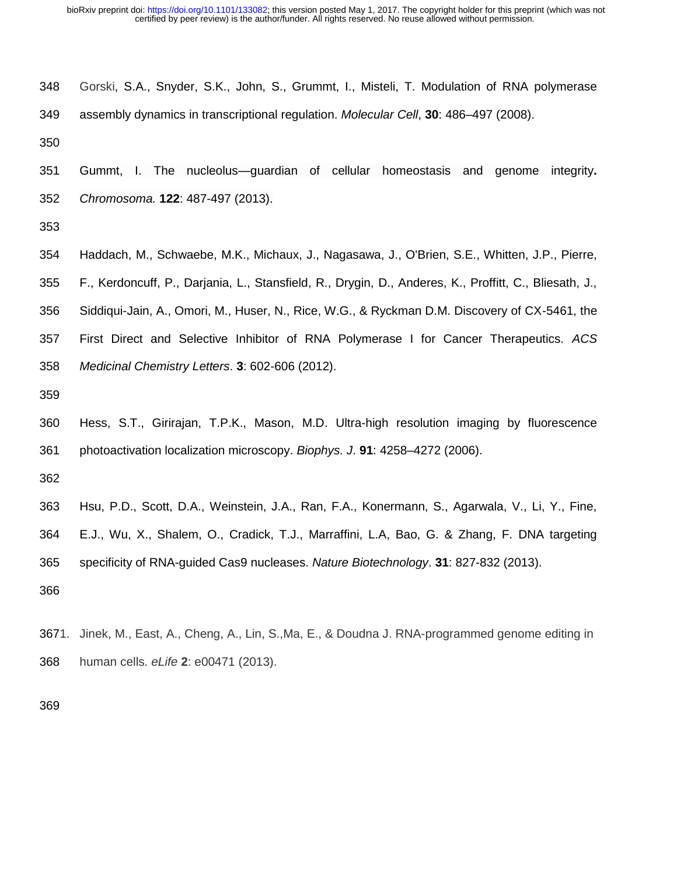| 348 | Gorski, S.A., Snyder, S.K., John, S., Grummt, I., Misteli, T. Modulation of RNA polymerase |
|-----|--------------------------------------------------------------------------------------------|
| 349 | assembly dynamics in transcriptional regulation. Molecular Cell, 30: 486–497 (2008).       |

 Gummt, I. The nucleolus—guardian of cellular homeostasis and genome integrity**.**  *Chromosoma.* **122**: 487-497 (2013).

 Haddach, M., Schwaebe, M.K., Michaux, J., Nagasawa, J., O'Brien, S.E., Whitten, J.P., Pierre, F., Kerdoncuff, P., Darjania, L., Stansfield, R., Drygin, D., Anderes, K., Proffitt, C., Bliesath, J., Siddiqui-Jain, A., Omori, M., Huser, N., Rice, W.G., & Ryckman D.M. Discovery of CX-5461, the First Direct and Selective Inhibitor of RNA Polymerase I for Cancer Therapeutics. *ACS Medicinal Chemistry Letters*. **3**: 602-606 (2012).

 Hess, S.T., Girirajan, T.P.K., Mason, M.D. Ultra-high resolution imaging by fluorescence photoactivation localization microscopy. *Biophys. J*. **91**: 4258–4272 (2006).

 Hsu, P.D., Scott, D.A., Weinstein, J.A., Ran, F.A., Konermann, S., Agarwala, V., Li, Y., Fine, E.J., Wu, X., Shalem, O., Cradick, T.J., Marraffini, L.A, Bao, G. & Zhang, F. DNA targeting specificity of RNA-guided Cas9 nucleases. *Nature Biotechnology*. **31**: 827-832 (2013).

3671. Jinek, M., East, A., Cheng, A., Lin, S.,Ma, E., & Doudna J. RNA-programmed genome editing in human cells. *eLife* **2**: e00471 (2013).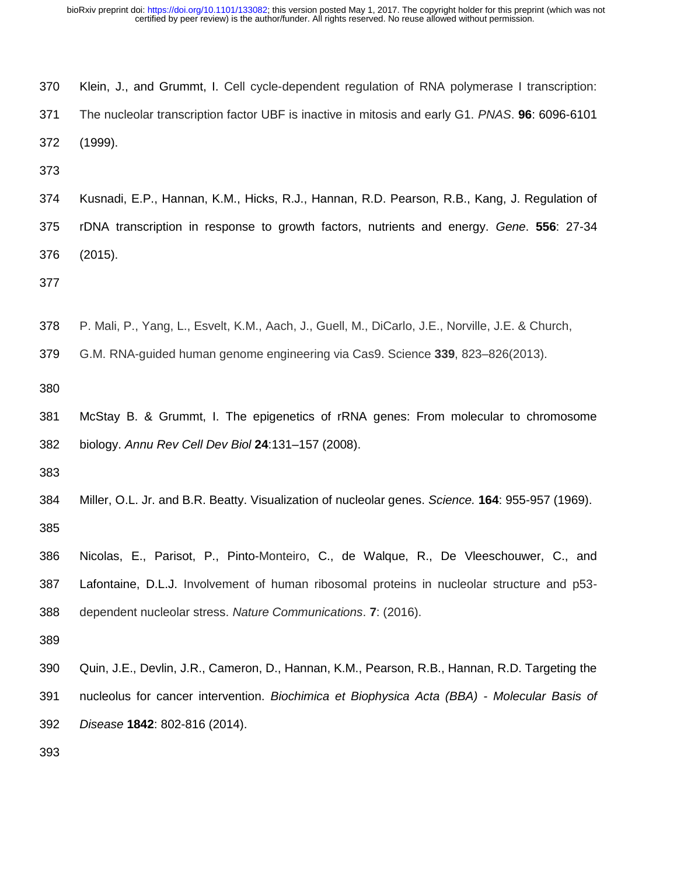| 370 | Klein, J., and Grummt, I. Cell cycle-dependent regulation of RNA polymerase I transcription:    |
|-----|-------------------------------------------------------------------------------------------------|
| 371 | The nucleolar transcription factor UBF is inactive in mitosis and early G1. PNAS. 96: 6096-6101 |
| 372 | (1999).                                                                                         |

 Kusnadi, E.P., Hannan, K.M., Hicks, R.J., Hannan, R.D. Pearson, R.B., Kang, J. Regulation of rDNA transcription in response to growth factors, nutrients and energy. *Gene*. **556**: 27-34 (2015).

P. Mali, P., Yang, L., Esvelt, K.M., Aach, J., Guell, M., DiCarlo, J.E., Norville, J.E. & Church,

G.M. RNA-guided human genome engineering via Cas9. Science **339**, 823–826(2013).

 McStay B. & Grummt, I. The epigenetics of rRNA genes: From molecular to chromosome biology. *Annu Rev Cell Dev Biol* **24**:131–157 (2008).

- Miller, O.L. Jr. and B.R. Beatty. Visualization of nucleolar genes. *Science.* **164**: 955-957 (1969).
- Nicolas, E., Parisot, P., Pinto-Monteiro, C., de Walque, R., De Vleeschouwer, C., and Lafontaine, D.L.J. Involvement of human ribosomal proteins in nucleolar structure and p53- dependent nucleolar stress. *Nature Communications*. **7**: (2016).
- 
- Quin, J.E., Devlin, J.R., Cameron, D., Hannan, K.M., Pearson, R.B., Hannan, R.D. Targeting the nucleolus for cancer intervention. *Biochimica et Biophysica Acta (BBA) - Molecular Basis of Disease* **1842**: 802-816 (2014).
-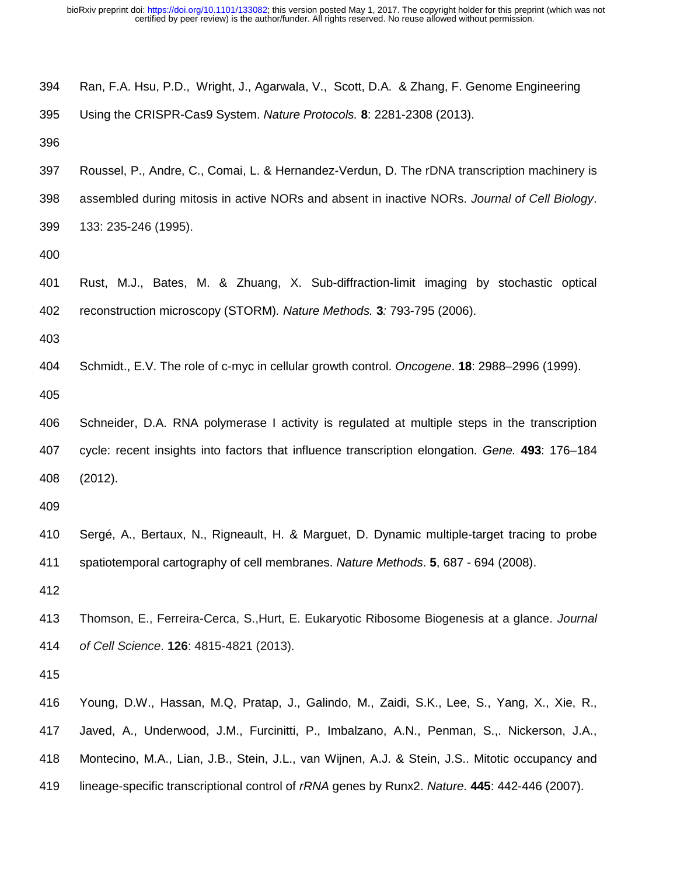| 394 | Ran, F.A. Hsu, P.D., Wright, J., Agarwala, V., Scott, D.A. & Zhang, F. Genome Engineering       |
|-----|-------------------------------------------------------------------------------------------------|
| 395 | Using the CRISPR-Cas9 System. Nature Protocols. 8: 2281-2308 (2013).                            |
| 396 |                                                                                                 |
| 397 | Roussel, P., Andre, C., Comai, L. & Hernandez-Verdun, D. The rDNA transcription machinery is    |
| 398 | assembled during mitosis in active NORs and absent in inactive NORs. Journal of Cell Biology.   |
| 399 | 133: 235-246 (1995).                                                                            |
| 400 |                                                                                                 |
| 401 | Rust, M.J., Bates, M. & Zhuang, X. Sub-diffraction-limit imaging by stochastic optical          |
| 402 | reconstruction microscopy (STORM). Nature Methods. 3: 793-795 (2006).                           |
| 403 |                                                                                                 |
| 404 | Schmidt., E.V. The role of c-myc in cellular growth control. Oncogene. 18: 2988–2996 (1999).    |
| 405 |                                                                                                 |
| 406 | Schneider, D.A. RNA polymerase I activity is regulated at multiple steps in the transcription   |
| 407 | cycle: recent insights into factors that influence transcription elongation. Gene. 493: 176-184 |
| 408 | (2012).                                                                                         |
| 409 |                                                                                                 |
| 410 | Sergé, A., Bertaux, N., Rigneault, H. & Marguet, D. Dynamic multiple-target tracing to probe    |
| 411 | spatiotemporal cartography of cell membranes. Nature Methods. 5, 687 - 694 (2008).              |
| 412 |                                                                                                 |
| 413 | Thomson, E., Ferreira-Cerca, S., Hurt, E. Eukaryotic Ribosome Biogenesis at a glance. Journal   |
| 414 | of Cell Science. 126: 4815-4821 (2013).                                                         |
| 415 |                                                                                                 |
| 416 | Young, D.W., Hassan, M.Q, Pratap, J., Galindo, M., Zaidi, S.K., Lee, S., Yang, X., Xie, R.,     |
| 417 | Javed, A., Underwood, J.M., Furcinitti, P., Imbalzano, A.N., Penman, S.,. Nickerson, J.A.,      |
| 418 | Montecino, M.A., Lian, J.B., Stein, J.L., van Wijnen, A.J. & Stein, J.S Mitotic occupancy and   |
| 419 | lineage-specific transcriptional control of rRNA genes by Runx2. Nature. 445: 442-446 (2007).   |
|     |                                                                                                 |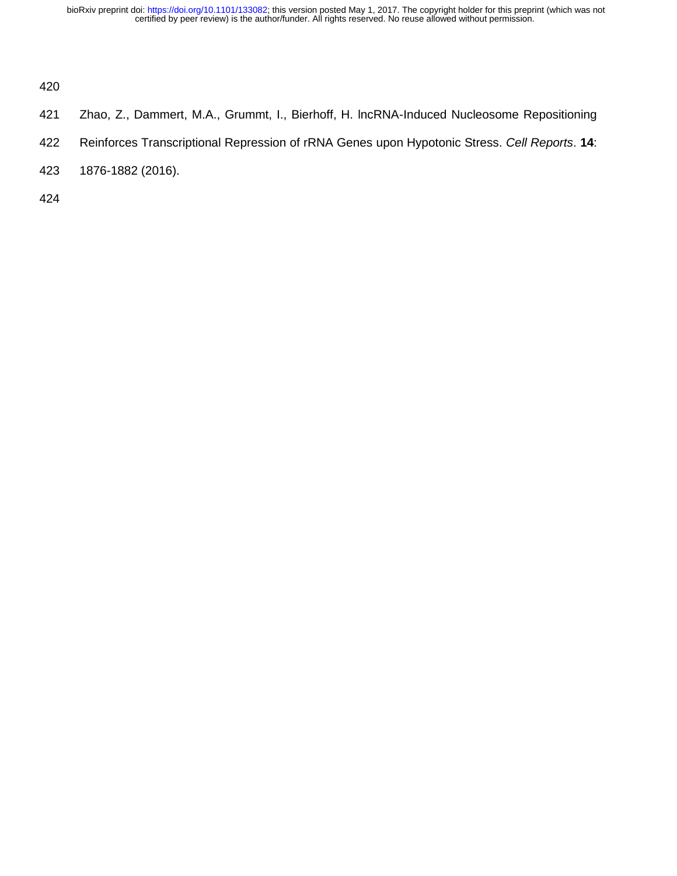- Zhao, Z., Dammert, M.A., Grummt, I., Bierhoff, H. lncRNA-Induced Nucleosome Repositioning
- Reinforces Transcriptional Repression of rRNA Genes upon Hypotonic Stress. *Cell Reports*. **14**:
- 1876-1882 (2016).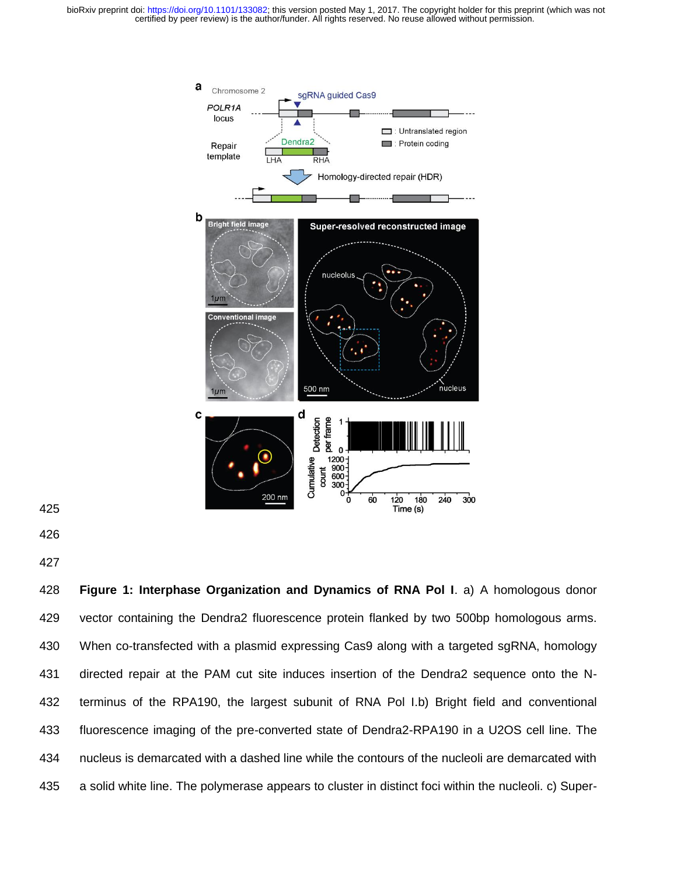

- 
- 
- 

 **Figure 1: Interphase Organization and Dynamics of RNA Pol I**. a) A homologous donor vector containing the Dendra2 fluorescence protein flanked by two 500bp homologous arms. When co-transfected with a plasmid expressing Cas9 along with a targeted sgRNA, homology directed repair at the PAM cut site induces insertion of the Dendra2 sequence onto the N- terminus of the RPA190, the largest subunit of RNA Pol I.b) Bright field and conventional fluorescence imaging of the pre-converted state of Dendra2-RPA190 in a U2OS cell line. The nucleus is demarcated with a dashed line while the contours of the nucleoli are demarcated with a solid white line. The polymerase appears to cluster in distinct foci within the nucleoli. c) Super-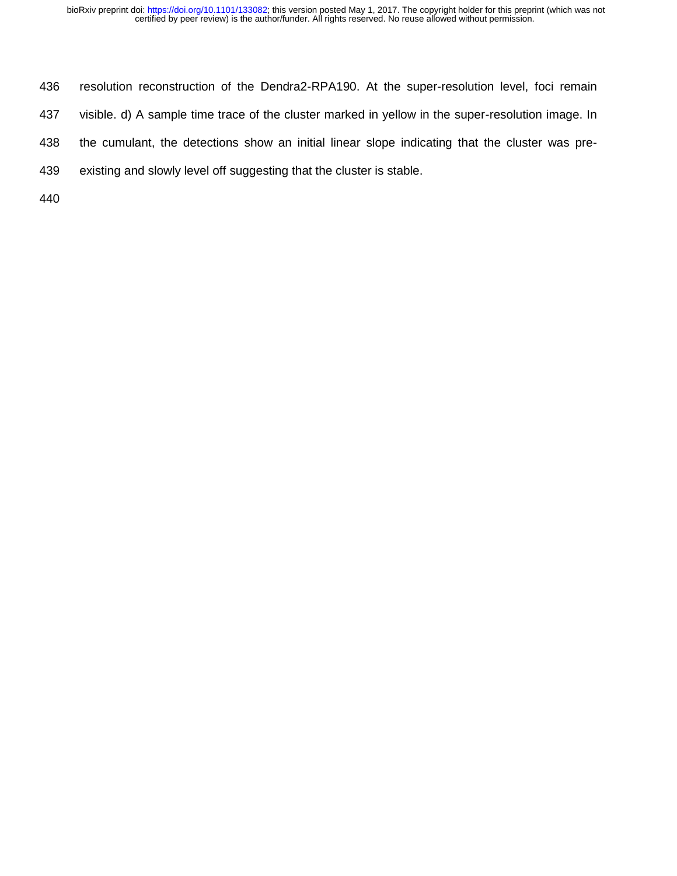- resolution reconstruction of the Dendra2-RPA190. At the super-resolution level, foci remain
- visible. d) A sample time trace of the cluster marked in yellow in the super-resolution image. In
- the cumulant, the detections show an initial linear slope indicating that the cluster was pre-
- existing and slowly level off suggesting that the cluster is stable.
-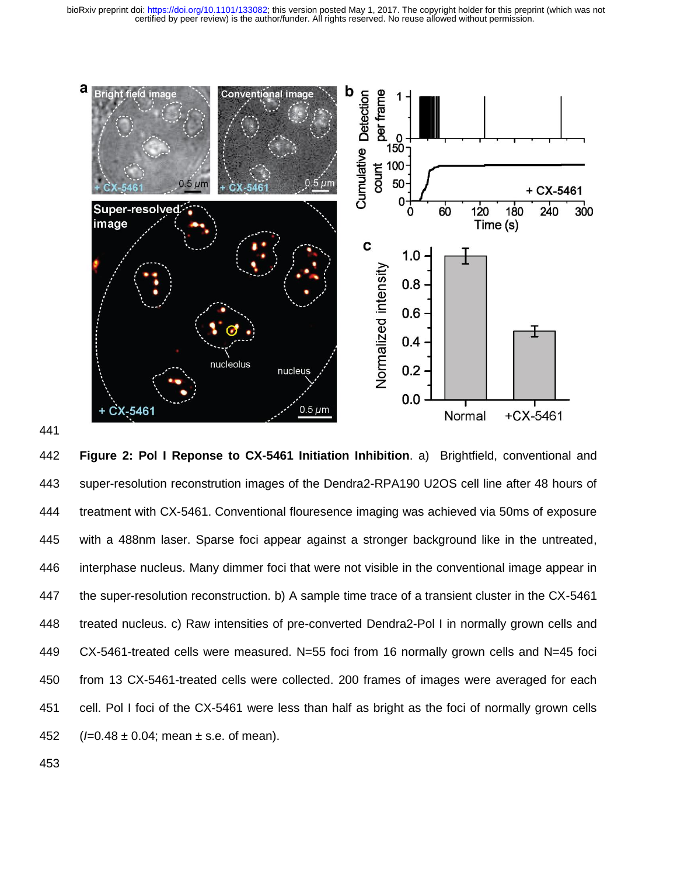



 **Figure 2: Pol I Reponse to CX-5461 Initiation Inhibition**. a) Brightfield, conventional and super-resolution reconstrution images of the Dendra2-RPA190 U2OS cell line after 48 hours of treatment with CX-5461. Conventional flouresence imaging was achieved via 50ms of exposure with a 488nm laser. Sparse foci appear against a stronger background like in the untreated, interphase nucleus. Many dimmer foci that were not visible in the conventional image appear in the super-resolution reconstruction. b) A sample time trace of a transient cluster in the CX-5461 treated nucleus. c) Raw intensities of pre-converted Dendra2-Pol I in normally grown cells and CX-5461-treated cells were measured. N=55 foci from 16 normally grown cells and N=45 foci from 13 CX-5461-treated cells were collected. 200 frames of images were averaged for each cell. Pol I foci of the CX-5461 were less than half as bright as the foci of normally grown cells (*I*=0.48 ± 0.04; mean ± s.e. of mean).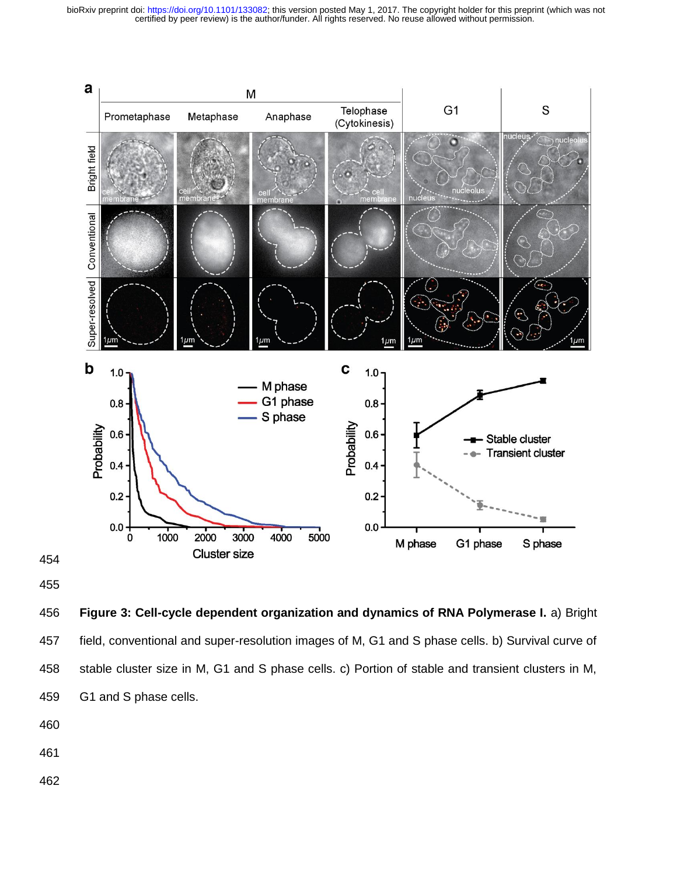

 **Figure 3: Cell-cycle dependent organization and dynamics of RNA Polymerase I.** a) Bright field, conventional and super-resolution images of M, G1 and S phase cells. b) Survival curve of stable cluster size in M, G1 and S phase cells. c) Portion of stable and transient clusters in M, G1 and S phase cells.